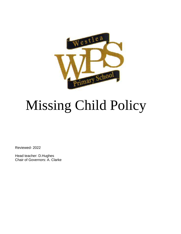

# Missing Child Policy

Reviewed- 2022

Head teacher: D.Hughes Chair of Governors: A. Clarke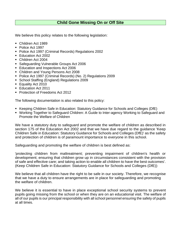## **Child Gone Missing On or Off Site**

We believe this policy relates to the following legislation:

- Children Act 1989
- Police Act 1997
- Police Act 1997 (Criminal Records) Regulations 2002
- Education Act 2002
- Children Act 2004
- Safeguarding Vulnerable Groups Act 2006
- **Education and Inspections Act 2006**
- Children and Young Persons Act 2008
- Police Act 1997 (Criminal Records) (No. 2) Regulations 2009
- School Staffing (England) Regulations 2009
- Equality Act 2010
- Education Act 2011
- **Protection of Freedoms Act 2012**

The following documentation is also related to this policy:

- Keeping Children Safe in Education: Statutory Guidance for Schools and Colleges (DfE)
- Working Together to Safeguard Children: A Guide to Inter-agency Working to Safeguard and Promote the Welfare of Children

We have a statutory duty to safeguard and promote the welfare of children as described in section 175 of the Education Act 2002 and that we have due regard to the guidance 'Keep Children Safe in Education: Statutory Guidance for Schools and Colleges (DfE)' as the safety and protection of children is of paramount importance to everyone in this school.

Safeguarding and promoting the welfare of children is best defined as:

'protecting children from maltreatment; preventing impairment of children's health or development; ensuring that children grow up in circumstances consistent with the provision of safe and effective care; and taking action to enable all children to have the best outcomes'. (Keep Children Safe in Education: Statutory Guidance for Schools and Colleges (DfE))

We believe that all children have the right to be safe in our society. Therefore, we recognise that we have a duty to ensure arrangements are in place for safeguarding and promoting the welfare of children.

We believe it is essential to have in place exceptional school security systems to prevent pupils going missing from the school or when they are on an educational visit. The welfare of all of our pupils is our principal responsibility with all school personnel ensuring the safety of pupils at all times.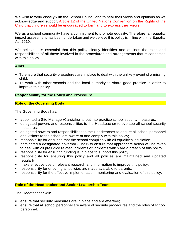We wish to work closely with the School Council and to hear their views and opinions as we acknowledge and support Article 12 of the United Nations Convention on the Rights of the Child that children should be encouraged to form and to express their views.

We as a school community have a commitment to promote equality. Therefore, an equality impact assessment has been undertaken and we believe this policy is in line with the Equality Act 2010.

We believe it is essential that this policy clearly identifies and outlines the roles and responsibilities of all those involved in the procedures and arrangements that is connected with this policy.

#### **Aims**

- To ensure that security procedures are in place to deal with the unlikely event of a missing child.
- To work with other schools and the local authority to share good practice in order to improve this policy.

## **Responsibility for the Policy and Procedure**

## **Role of the Governing Body**

The Governing Body has:

- appointed a Site Manager/Caretaker to put into practice school security measures;
- delegated powers and responsibilities to the Headteacher to oversee all school security measures;
- delegated powers and responsibilities to the Headteacher to ensure all school personnel and visitors to the school are aware of and comply with this policy;
- responsibility for ensuring that the school complies with all equalities legislation;
- nominated a designated governor (Chair) to ensure that appropriate action will be taken to deal with all prejudice related incidents or incidents which are a breach of this policy;
- responsibility for ensuring funding is in place to support this policy;
- **EX FE** responsibility for ensuring this policy and all policies are maintained and updated regularly;
- make effective use of relevant research and information to improve this policy;
- responsibility for ensuring all policies are made available to parents;
- responsibility for the effective implementation, monitoring and evaluation of this policy.

#### **Role of the Headteacher and Senior Leadership Team**

The Headteacher will:

- ensure that security measures are in place and are effective;
- ensure that all school personnel are aware of security procedures and the roles of school personnel;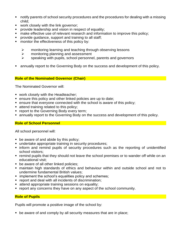- notify parents of school security procedures and the procedures for dealing with a missing child;
- work closely with the link governor;
- **•** provide leadership and vision in respect of equality;
- make effective use of relevant research and information to improve this policy;
- provide guidance, support and training to all staff;
- **•** monitor the effectiveness of this policy by:
	- ➢ monitoring learning and teaching through observing lessons
	- ➢ monitoring planning and assessment
	- $\triangleright$  speaking with pupils, school personnel, parents and governors
- annually report to the Governing Body on the success and development of this policy.

## **Role of the Nominated Governor (Chair)**

The Nominated Governor will:

- work closely with the Headteacher;
- ensure this policy and other linked policies are up to date;
- ensure that everyone connected with the school is aware of this policy;
- attend training related to this policy;
- **report to the Governing Body every term;**
- **E** annually report to the Governing Body on the success and development of this policy.

## **Role of School Personnel**

All school personnel will:

- be aware of and abide by this policy;
- undertake appropriate training in security procedures;
- **.** inform and remind pupils of security procedures such as the reporting of unidentified school visitors;
- remind pupils that they should not leave the school premises or to wander off while on an educational visit;
- be aware of all other linked policies;
- maintain high standards of ethics and behaviour within and outside school and not to undermine fundamental British values;
- **E** implement the school's equalities policy and schemes;
- report and deal with all incidents of discrimination;
- **E** attend appropriate training sessions on equality;
- report any concerns they have on any aspect of the school community.

## **Role of Pupils**

Pupils will promote a positive image of the school by:

■ be aware of and comply by all security measures that are in place;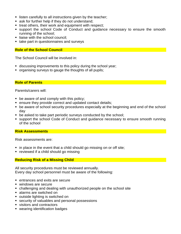- listen carefully to all instructions given by the teacher;
- ask for further help if they do not understand;
- treat others, their work and equipment with respect;
- support the school Code of Conduct and quidance necessary to ensure the smooth running of the school;
- **E** liaise with the school council;
- take part in questionnaires and surveys

#### **Role of the School Council**

The School Council will be involved in:

- discussing improvements to this policy during the school year;
- organising surveys to gauge the thoughts of all pupils;

**Role of Parents**

Parents/carers will:

- $\blacksquare$  be aware of and comply with this policy;
- ensure they provide correct and updated contact details;
- be aware of school security procedures especially at the beginning and end of the school day
- be asked to take part periodic surveys conducted by the school;
- support the school Code of Conduct and guidance necessary to ensure smooth running of the school

#### **Risk Assessments**

Risk assessments are:

- in place in the event that a child should go missing on or off site;
- reviewed if a child should go missing

#### **Reducing Risk of a Missing Child**

All security procedures must be reviewed annually. Every day school personnel must be aware of the following:

- entrances and exits are secure
- windows are secure
- challenging and dealing with unauthorized people on the school site
- alarms are switched on
- outside lighting is switched on
- security of valuables and personal possessions
- visitors and contractors
- wearing identification badges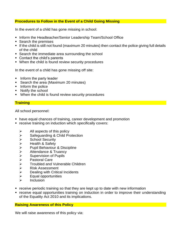#### **Procedures to Follow in the Event of a Child Going Missing**

In the event of a child has gone missing in school:

- Inform the Headteacher/Senior Leadership Team/School Office
- Search the premises
- If the child is still not found (maximum 20 minutes) then contact the police giving full details of the child
- Search the immediate area surrounding the school
- Contact the child's parents
- When the child is found review security procedures

In the event of a child has gone missing off site:

- **•** Inform the party leader
- Search the area (Maximum 20 minutes)
- Inform the police
- Notify the school
- When the child is found review security procedures

## **Training**

All school personnel:

- have equal chances of training, career development and promotion
- **EXECTE:** receive training on induction which specifically covers:
	- $\triangleright$  All aspects of this policy
	- ➢ Safeguarding & Child Protection
	- ➢ School Security
	- ➢ Health & Safety
	- ➢ Pupil Behaviour & Discipline
	- ➢ Attendance & Truancy
	- ➢ Supervision of Pupils
	- ➢ Pastoral Care
	- ➢ Troubled and Vulnerable Children
	- ➢ Risk Assessment
	- $\triangleright$  Dealing with Critical Incidents
	- $\triangleright$  Equal opportunities
	- ➢ Inclusion
- receive periodic training so that they are kept up to date with new information
- receive equal opportunities training on induction in order to improve their understanding of the Equality Act 2010 and its implications.

#### **Raising Awareness of this Policy**

We will raise awareness of this policy via: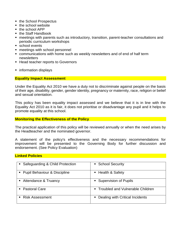- the School Prospectus
- the school website
- the school APP
- the Staff Handbook
- meetings with parents such as introductory, transition, parent-teacher consultations and periodic curriculum workshops
- school events
- meetings with school personnel
- communications with home such as weekly newsletters and of end of half term newsletters
- Head teacher reports to Governors
- information displays

#### **Equality Impact Assessment**

Under the Equality Act 2010 we have a duty not to discriminate against people on the basis of their age, disability, gender, gender identity, pregnancy or maternity, race, religion or belief and sexual orientation.

This policy has been equality impact assessed and we believe that it is in line with the Equality Act 2010 as it is fair, it does not prioritise or disadvantage any pupil and it helps to promote equality at this school.

#### **Monitoring the Effectiveness of the Policy**

The practical application of this policy will be reviewed annually or when the need arises by the Headteacher and the nominated governor.

A statement of the policy's effectiveness and the necessary recommendations for improvement will be presented to the Governing Body for further discussion and endorsement. (See Policy Evaluation)

#### **Linked Policies**

| • Safeguarding & Child Protection | • School Security                  |  |
|-----------------------------------|------------------------------------|--|
| • Pupil Behaviour & Discipline    | ■ Health & Safety                  |  |
| • Attendance & Truancy            | • Supervision of Pupils            |  |
| • Pastoral Care                   | ■ Troubled and Vulnerable Children |  |
| ■ Risk Assessment                 | • Dealing with Critical Incidents  |  |